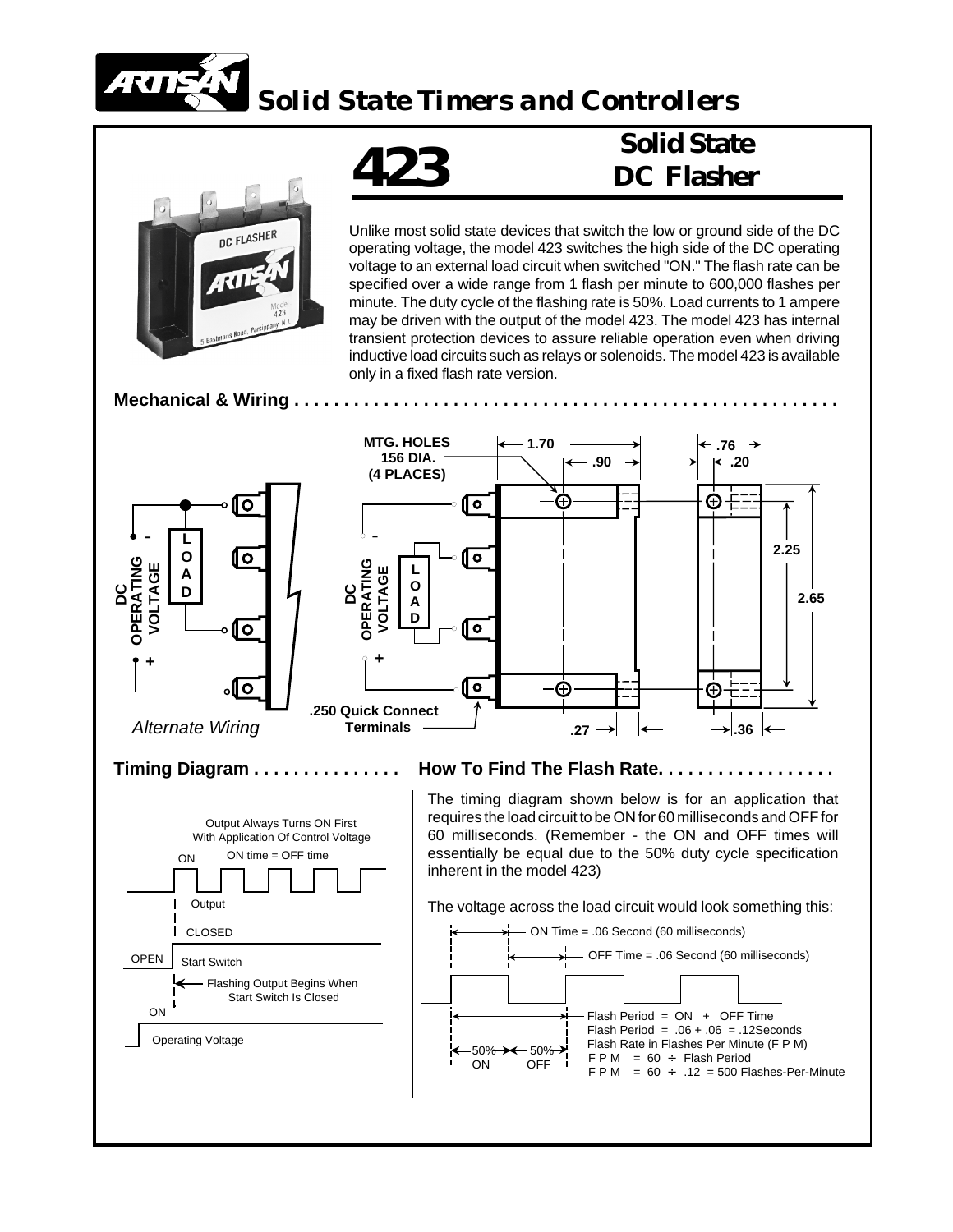

*Solid State Timers and Controllers*

**423**



Unlike most solid state devices that switch the low or ground side of the DC operating voltage, the model 423 switches the high side of the DC operating voltage to an external load circuit when switched "ON." The flash rate can be specified over a wide range from 1 flash per minute to 600,000 flashes per minute. The duty cycle of the flashing rate is 50%. Load currents to 1 ampere may be driven with the output of the model 423. The model 423 has internal transient protection devices to assure reliable operation even when driving inductive load circuits such as relays or solenoids. The model 423 is available only in a fixed flash rate version.

**Solid State**

**DC Flasher**